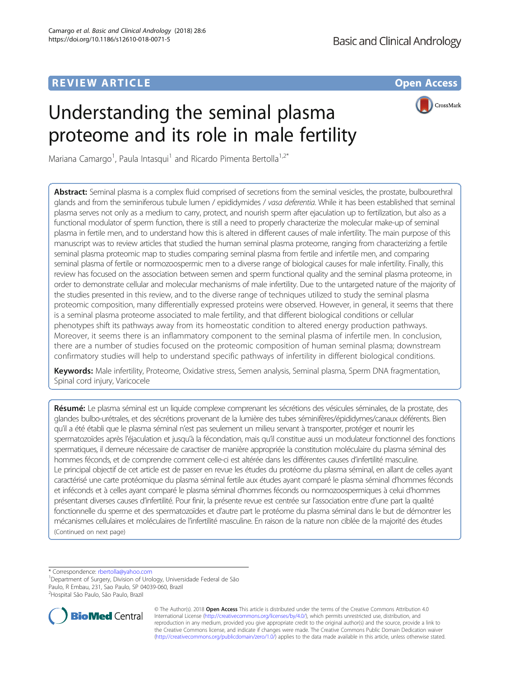# Understanding the seminal plasma proteome and its role in male fertility



Mariana Camargo<sup>1</sup>, Paula Intasqui<sup>1</sup> and Ricardo Pimenta Bertolla<sup>1,2\*</sup>

Abstract: Seminal plasma is a complex fluid comprised of secretions from the seminal vesicles, the prostate, bulbourethral glands and from the seminiferous tubule lumen / epididymides / vasa deferentia. While it has been established that seminal plasma serves not only as a medium to carry, protect, and nourish sperm after ejaculation up to fertilization, but also as a functional modulator of sperm function, there is still a need to properly characterize the molecular make-up of seminal plasma in fertile men, and to understand how this is altered in different causes of male infertility. The main purpose of this manuscript was to review articles that studied the human seminal plasma proteome, ranging from characterizing a fertile seminal plasma proteomic map to studies comparing seminal plasma from fertile and infertile men, and comparing seminal plasma of fertile or normozoospermic men to a diverse range of biological causes for male infertility. Finally, this review has focused on the association between semen and sperm functional quality and the seminal plasma proteome, in order to demonstrate cellular and molecular mechanisms of male infertility. Due to the untargeted nature of the majority of the studies presented in this review, and to the diverse range of techniques utilized to study the seminal plasma proteomic composition, many differentially expressed proteins were observed. However, in general, it seems that there is a seminal plasma proteome associated to male fertility, and that different biological conditions or cellular phenotypes shift its pathways away from its homeostatic condition to altered energy production pathways. Moreover, it seems there is an inflammatory component to the seminal plasma of infertile men. In conclusion, there are a number of studies focused on the proteomic composition of human seminal plasma; downstream confirmatory studies will help to understand specific pathways of infertility in different biological conditions.

Keywords: Male infertility, Proteome, Oxidative stress, Semen analysis, Seminal plasma, Sperm DNA fragmentation, Spinal cord injury, Varicocele

Résumé: Le plasma séminal est un liquide complexe comprenant les sécrétions des vésicules séminales, de la prostate, des glandes bulbo-urétrales, et des sécrétions provenant de la lumière des tubes séminifères/épididymes/canaux déférents. Bien qu'il a été établi que le plasma séminal n'est pas seulement un milieu servant à transporter, protéger et nourrir les spermatozoïdes après l'éjaculation et jusqu'à la fécondation, mais qu'il constitue aussi un modulateur fonctionnel des fonctions spermatiques, il demeure nécessaire de caractiser de manière appropriée la constitution moléculaire du plasma séminal des hommes féconds, et de comprendre comment celle-ci est altérée dans les différentes causes d'infertilité masculine. Le principal objectif de cet article est de passer en revue les études du protéome du plasma séminal, en allant de celles ayant caractérisé une carte protéomique du plasma séminal fertile aux études ayant comparé le plasma séminal d'hommes féconds et inféconds et à celles ayant comparé le plasma séminal d'hommes féconds ou normozoospermiques à celui d'hommes présentant diverses causes d'infertilité. Pour finir, la présente revue est centrée sur l'association entre d'une part la qualité fonctionnelle du sperme et des spermatozoïdes et d'autre part le protéome du plasma séminal dans le but de démontrer les mécanismes cellulaires et moléculaires de l'infertilité masculine. En raison de la nature non ciblée de la majorité des études (Continued on next page)

\* Correspondence: [rbertolla@yahoo.com](mailto:rbertolla@yahoo.com) <sup>1</sup>

<sup>1</sup>Department of Surgery, Division of Urology, Universidade Federal de São Paulo, R Embau, 231, Sao Paulo, SP 04039-060, Brazil

<sup>2</sup>Hospital São Paulo, São Paulo, Brazil



© The Author(s). 2018 Open Access This article is distributed under the terms of the Creative Commons Attribution 4.0 International License [\(http://creativecommons.org/licenses/by/4.0/](http://creativecommons.org/licenses/by/4.0/)), which permits unrestricted use, distribution, and reproduction in any medium, provided you give appropriate credit to the original author(s) and the source, provide a link to the Creative Commons license, and indicate if changes were made. The Creative Commons Public Domain Dedication waiver [\(http://creativecommons.org/publicdomain/zero/1.0/](http://creativecommons.org/publicdomain/zero/1.0/)) applies to the data made available in this article, unless otherwise stated.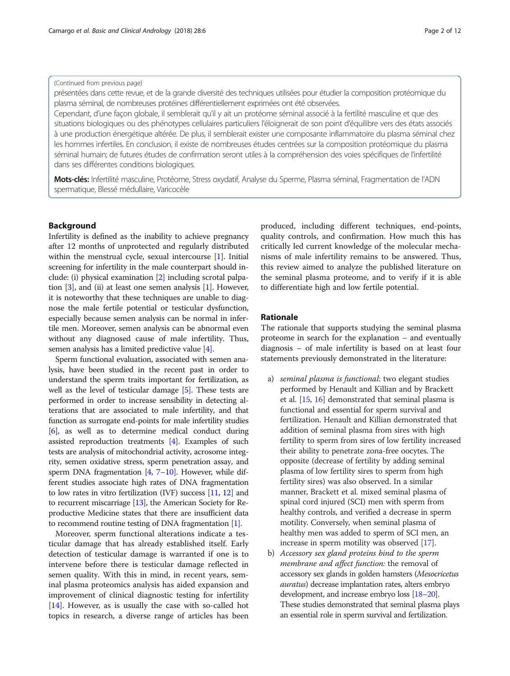## (Continued from previous page)

présentées dans cette revue, et de la grande diversité des techniques utilisées pour étudier la composition protéomique du plasma séminal, de nombreuses protéines différentiellement exprimées ont été observées.

Cependant, d'une façon globale, il semblerait qu'il y ait un protéome séminal associé à la fertilité masculine et que des situations biologiques ou des phénotypes cellulaires particuliers l'éloignerait de son point d'équilibre vers des états associés à une production énergétique altérée. De plus, il semblerait exister une composante inflammatoire du plasma séminal chez les hommes infertiles. En conclusion, il existe de nombreuses études centrées sur la composition protéomique du plasma séminal humain; de futures études de confirmation seront utiles à la compréhension des voies spécifiques de l'infertilité dans ses différentes conditions biologiques.

Mots-clés: Infertilité masculine, Protéome, Stress oxydatif, Analyse du Sperme, Plasma séminal, Fragmentation de l'ADN spermatique, Blessé médullaire, Varicocèle

## Background

Infertility is defined as the inability to achieve pregnancy after 12 months of unprotected and regularly distributed within the menstrual cycle, sexual intercourse [\[1](#page-9-0)]. Initial screening for infertility in the male counterpart should include: (i) physical examination [\[2\]](#page-9-0) including scrotal palpation [[3\]](#page-9-0), and (ii) at least one semen analysis [\[1\]](#page-9-0). However, it is noteworthy that these techniques are unable to diagnose the male fertile potential or testicular dysfunction, especially because semen analysis can be normal in infertile men. Moreover, semen analysis can be abnormal even without any diagnosed cause of male infertility. Thus, semen analysis has a limited predictive value [\[4](#page-9-0)].

Sperm functional evaluation, associated with semen analysis, have been studied in the recent past in order to understand the sperm traits important for fertilization, as well as the level of testicular damage [\[5](#page-9-0)]. These tests are performed in order to increase sensibility in detecting alterations that are associated to male infertility, and that function as surrogate end-points for male infertility studies [[6](#page-9-0)], as well as to determine medical conduct during assisted reproduction treatments [\[4](#page-9-0)]. Examples of such tests are analysis of mitochondrial activity, acrosome integrity, semen oxidative stress, sperm penetration assay, and sperm DNA fragmentation  $[4, 7-10]$  $[4, 7-10]$  $[4, 7-10]$  $[4, 7-10]$  $[4, 7-10]$ . However, while different studies associate high rates of DNA fragmentation to low rates in vitro fertilization (IVF) success [[11](#page-10-0), [12\]](#page-10-0) and to recurrent miscarriage [\[13\]](#page-10-0), the American Society for Reproductive Medicine states that there are insufficient data to recommend routine testing of DNA fragmentation [\[1\]](#page-9-0).

Moreover, sperm functional alterations indicate a testicular damage that has already established itself. Early detection of testicular damage is warranted if one is to intervene before there is testicular damage reflected in semen quality. With this in mind, in recent years, seminal plasma proteomics analysis has aided expansion and improvement of clinical diagnostic testing for infertility [[14\]](#page-10-0). However, as is usually the case with so-called hot topics in research, a diverse range of articles has been produced, including different techniques, end-points, quality controls, and confirmation. How much this has critically led current knowledge of the molecular mechanisms of male infertility remains to be answered. Thus, this review aimed to analyze the published literature on the seminal plasma proteome, and to verify if it is able to differentiate high and low fertile potential.

## Rationale

The rationale that supports studying the seminal plasma proteome in search for the explanation – and eventually diagnosis – of male infertility is based on at least four statements previously demonstrated in the literature:

- a) seminal plasma is functional: two elegant studies performed by Henault and Killian and by Brackett et al. [[15](#page-10-0), [16](#page-10-0)] demonstrated that seminal plasma is functional and essential for sperm survival and fertilization. Henault and Killian demonstrated that addition of seminal plasma from sires with high fertility to sperm from sires of low fertility increased their ability to penetrate zona-free oocytes. The opposite (decrease of fertility by adding seminal plasma of low fertility sires to sperm from high fertility sires) was also observed. In a similar manner, Brackett et al. mixed seminal plasma of spinal cord injured (SCI) men with sperm from healthy controls, and verified a decrease in sperm motility. Conversely, when seminal plasma of healthy men was added to sperm of SCI men, an increase in sperm motility was observed [[17](#page-10-0)].
- b) Accessory sex gland proteins bind to the sperm membrane and affect function: the removal of accessory sex glands in golden hamsters (Mesocricetus auratus) decrease implantation rates, alters embryo development, and increase embryo loss [\[18](#page-10-0)–[20](#page-10-0)]. These studies demonstrated that seminal plasma plays an essential role in sperm survival and fertilization.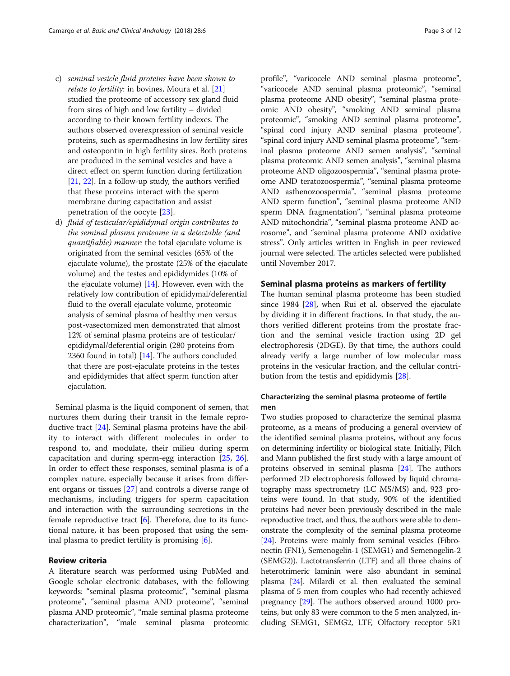- c) seminal vesicle fluid proteins have been shown to *relate to fertility*: in bovines, Moura et al.  $[21]$  $[21]$ studied the proteome of accessory sex gland fluid from sires of high and low fertility – divided according to their known fertility indexes. The authors observed overexpression of seminal vesicle proteins, such as spermadhesins in low fertility sires and osteopontin in high fertility sires. Both proteins are produced in the seminal vesicles and have a direct effect on sperm function during fertilization [\[21](#page-10-0), [22\]](#page-10-0). In a follow-up study, the authors verified that these proteins interact with the sperm membrane during capacitation and assist penetration of the oocyte [\[23](#page-10-0)].
- d) fluid of testicular/epididymal origin contributes to the seminal plasma proteome in a detectable (and quantifiable) manner: the total ejaculate volume is originated from the seminal vesicles (65% of the ejaculate volume), the prostate (25% of the ejaculate volume) and the testes and epididymides (10% of the ejaculate volume) [[14](#page-10-0)]. However, even with the relatively low contribution of epididymal/deferential fluid to the overall ejaculate volume, proteomic analysis of seminal plasma of healthy men versus post-vasectomized men demonstrated that almost 12% of seminal plasma proteins are of testicular/ epididymal/deferential origin (280 proteins from 2360 found in total) [[14\]](#page-10-0). The authors concluded that there are post-ejaculate proteins in the testes and epididymides that affect sperm function after ejaculation.

Seminal plasma is the liquid component of semen, that nurtures them during their transit in the female reproductive tract [[24\]](#page-10-0). Seminal plasma proteins have the ability to interact with different molecules in order to respond to, and modulate, their milieu during sperm capacitation and during sperm-egg interaction [\[25](#page-10-0), [26](#page-10-0)]. In order to effect these responses, seminal plasma is of a complex nature, especially because it arises from different organs or tissues [[27](#page-10-0)] and controls a diverse range of mechanisms, including triggers for sperm capacitation and interaction with the surrounding secretions in the female reproductive tract  $[6]$  $[6]$ . Therefore, due to its functional nature, it has been proposed that using the seminal plasma to predict fertility is promising [[6\]](#page-9-0).

## Review criteria

A literature search was performed using PubMed and Google scholar electronic databases, with the following keywords: "seminal plasma proteomic", "seminal plasma proteome", "seminal plasma AND proteome", "seminal plasma AND proteomic", "male seminal plasma proteome characterization", "male seminal plasma proteomic

profile", "varicocele AND seminal plasma proteome", "varicocele AND seminal plasma proteomic", "seminal plasma proteome AND obesity", "seminal plasma proteomic AND obesity", "smoking AND seminal plasma proteomic", "smoking AND seminal plasma proteome", "spinal cord injury AND seminal plasma proteome", "spinal cord injury AND seminal plasma proteome", "seminal plasma proteome AND semen analysis", "seminal plasma proteomic AND semen analysis", "seminal plasma proteome AND oligozoospermia", "seminal plasma proteome AND teratozoospermia", "seminal plasma proteome AND asthenozoospermia", "seminal plasma proteome AND sperm function", "seminal plasma proteome AND sperm DNA fragmentation", "seminal plasma proteome AND mitochondria", "seminal plasma proteome AND acrosome", and "seminal plasma proteome AND oxidative stress". Only articles written in English in peer reviewed journal were selected. The articles selected were published until November 2017.

## Seminal plasma proteins as markers of fertility

The human seminal plasma proteome has been studied since 1984 [\[28](#page-10-0)], when Rui et al. observed the ejaculate by dividing it in different fractions. In that study, the authors verified different proteins from the prostate fraction and the seminal vesicle fraction using 2D gel electrophoresis (2DGE). By that time, the authors could already verify a large number of low molecular mass proteins in the vesicular fraction, and the cellular contribution from the testis and epididymis [[28\]](#page-10-0).

## Characterizing the seminal plasma proteome of fertile men

Two studies proposed to characterize the seminal plasma proteome, as a means of producing a general overview of the identified seminal plasma proteins, without any focus on determining infertility or biological state. Initially, Pilch and Mann published the first study with a large amount of proteins observed in seminal plasma [[24](#page-10-0)]. The authors performed 2D electrophoresis followed by liquid chromatography mass spectrometry (LC MS/MS) and, 923 proteins were found. In that study, 90% of the identified proteins had never been previously described in the male reproductive tract, and thus, the authors were able to demonstrate the complexity of the seminal plasma proteome [[24](#page-10-0)]. Proteins were mainly from seminal vesicles (Fibronectin (FN1), Semenogelin-1 (SEMG1) and Semenogelin-2 (SEMG2)). Lactotransferrin (LTF) and all three chains of heterotrimeric laminin were also abundant in seminal plasma [\[24\]](#page-10-0). Milardi et al. then evaluated the seminal plasma of 5 men from couples who had recently achieved pregnancy [\[29](#page-10-0)]. The authors observed around 1000 proteins, but only 83 were common to the 5 men analyzed, including SEMG1, SEMG2, LTF, Olfactory receptor 5R1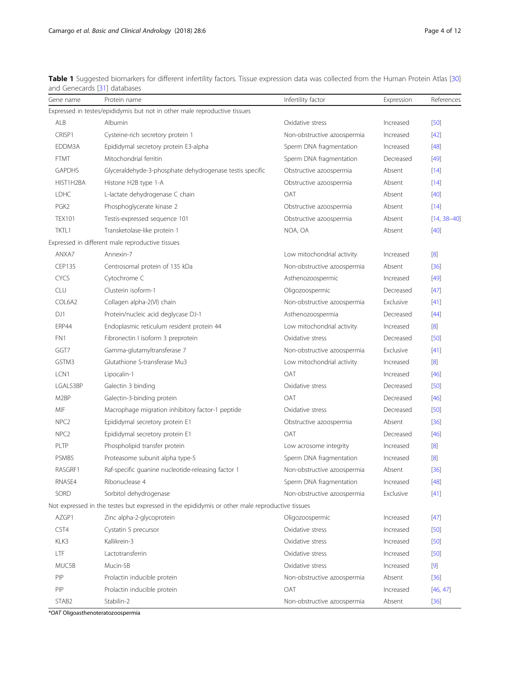<span id="page-3-0"></span>Table 1 Suggested biomarkers for different infertility factors. Tissue expression data was collected from the Human Protein Atlas [[30](#page-10-0)] and Genecards [[31](#page-10-0)] databases

| Gene name         | Protein name                                                                                   | Infertility factor          | Expression | References      |
|-------------------|------------------------------------------------------------------------------------------------|-----------------------------|------------|-----------------|
|                   | Expressed in testes/epididymis but not in other male reproductive tissues                      |                             |            |                 |
| ALB               | Albumin                                                                                        | Oxidative stress            | Increased  | $[50]$          |
| CRISP1            | Cysteine-rich secretory protein 1                                                              | Non-obstructive azoospermia | Increased  | $[42]$          |
| EDDM3A            | Epididymal secretory protein E3-alpha                                                          | Sperm DNA fragmentation     | Increased  | $[48]$          |
| <b>FTMT</b>       | Mitochondrial ferritin                                                                         | Sperm DNA fragmentation     | Decreased  | $[49]$          |
| <b>GAPDHS</b>     | Glyceraldehyde-3-phosphate dehydrogenase testis specific                                       | Obstructive azoospermia     | Absent     | $[14]$          |
| HIST1H2BA         | Histone H2B type 1-A                                                                           | Obstructive azoospermia     | Absent     | $[14]$          |
| <b>LDHC</b>       | L-lactate dehydrogenase C chain                                                                | OAT                         | Absent     | $[40]$          |
| PGK <sub>2</sub>  | Phosphoglycerate kinase 2                                                                      | Obstructive azoospermia     | Absent     | $[14]$          |
| <b>TEX101</b>     | Testis-expressed sequence 101                                                                  | Obstructive azoospermia     | Absent     | $[14, 38 - 40]$ |
| TKTL1             | Transketolase-like protein 1                                                                   | NOA, OA                     | Absent     | $[40]$          |
|                   | Expressed in different male reproductive tissues                                               |                             |            |                 |
| ANXA7             | Annexin-7                                                                                      | Low mitochondrial activity  | Increased  | [8]             |
| <b>CEP135</b>     | Centrosomal protein of 135 kDa                                                                 | Non-obstructive azoospermia | Absent     | $[36]$          |
| <b>CYCS</b>       | Cytochrome C                                                                                   | Asthenozoospermic           | Increased  | $[49]$          |
| CLU               | Clusterin isoform-1                                                                            | Oligozoospermic             | Decreased  | $[47]$          |
| COL6A2            | Collagen alpha-2(VI) chain                                                                     | Non-obstructive azoospermia | Exclusive  | $[41]$          |
| DJ1               | Protein/nucleic acid deglycase DJ-1                                                            | Asthenozoospermia           | Decreased  | $[44]$          |
| ERP44             | Endoplasmic reticulum resident protein 44                                                      | Low mitochondrial activity  | Increased  | [8]             |
| FN1               | Fibronectin I isoform 3 preprotein                                                             | Oxidative stress            | Decreased  | $[50]$          |
| GGT7              | Gamma-glutamyltransferase 7                                                                    | Non-obstructive azoospermia | Exclusive  | $[41]$          |
| GSTM3             | Glutathione S-transferase Mu3                                                                  | Low mitochondrial activity  | Increased  | [8]             |
| LCN <sub>1</sub>  | Lipocalin-1                                                                                    | OAT                         | Increased  | $[46]$          |
| LGALS3BP          | Galectin 3 binding                                                                             | Oxidative stress            | Decreased  | $[50]$          |
| M <sub>2</sub> BP | Galectin-3-binding protein                                                                     | OAT                         | Decreased  | $[46]$          |
| MIF               | Macrophage migration inhibitory factor-1 peptide                                               | Oxidative stress            | Decreased  | $[50]$          |
| NPC <sub>2</sub>  | Epididymal secretory protein E1                                                                | Obstructive azoospermia     | Absent     | $[36]$          |
| NPC <sub>2</sub>  | Epididymal secretory protein E1                                                                | OAT                         | Decreased  | $[46]$          |
| PLTP              | Phospholipid transfer protein                                                                  | Low acrosome integrity      | Increased  | [8]             |
| PSMB5             | Proteasome subunit alpha type-5                                                                | Sperm DNA fragmentation     | Increased  | [8]             |
| RASGRF1           | Raf-specific guanine nucleotide-releasing factor 1                                             | Non-obstructive azoospermia | Absent     | $[36]$          |
| RNASE4            | Ribonuclease 4                                                                                 | Sperm DNA fragmentation     | Increased  | $[48]$          |
| SORD              | Sorbitol dehydrogenase                                                                         | Non-obstructive azoospermia | Exclusive  | $[41]$          |
|                   | Not expressed in the testes but expressed in the epididymis or other male reproductive tissues |                             |            |                 |
| AZGP1             | Zinc alpha-2-glycoprotein                                                                      | Oligozoospermic             | Increased  | $[47]$          |
| CST4              | Cystatin S precursor                                                                           | Oxidative stress            | Increased  | $[50]$          |
| KLK3              | Kallikrein-3                                                                                   | Oxidative stress            | Increased  | $[50]$          |
| LTF               | Lactotransferrin                                                                               | Oxidative stress            | Increased  | $[50]$          |
| MUC5B             | Mucin-5B                                                                                       | Oxidative stress            | Increased  | $[9]$           |
| PIP               | Prolactin inducible protein                                                                    | Non-obstructive azoospermia | Absent     | $[36]$          |
| PIP               | Prolactin inducible protein                                                                    | OAT                         | Increased  | [46, 47]        |
| STAB <sub>2</sub> | Stabilin-2                                                                                     | Non-obstructive azoospermia | Absent     | $[36]$          |

\*OAT Oligoasthenoteratozoospermia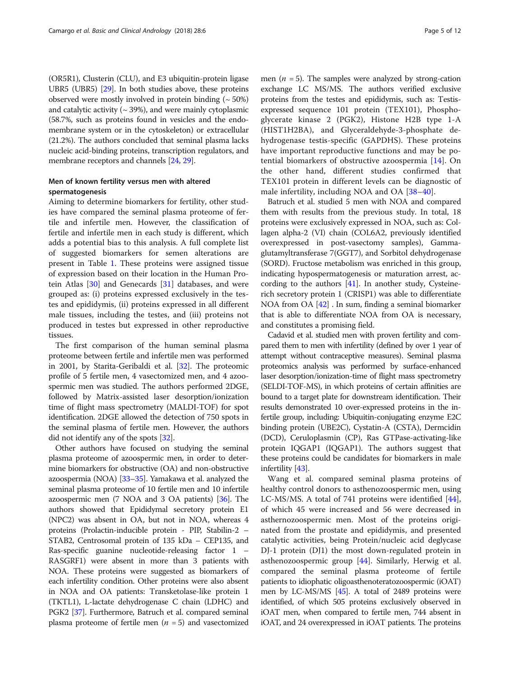(OR5R1), Clusterin (CLU), and E3 ubiquitin-protein ligase UBR5 (UBR5) [[29](#page-10-0)]. In both studies above, these proteins observed were mostly involved in protein binding  $($   $\sim$  50%) and catalytic activity  $($   $\sim$  39%), and were mainly cytoplasmic (58.7%, such as proteins found in vesicles and the endomembrane system or in the cytoskeleton) or extracellular (21.2%). The authors concluded that seminal plasma lacks nucleic acid-binding proteins, transcription regulators, and membrane receptors and channels [\[24,](#page-10-0) [29](#page-10-0)].

## Men of known fertility versus men with altered spermatogenesis

Aiming to determine biomarkers for fertility, other studies have compared the seminal plasma proteome of fertile and infertile men. However, the classification of fertile and infertile men in each study is different, which adds a potential bias to this analysis. A full complete list of suggested biomarkers for semen alterations are present in Table [1.](#page-3-0) These proteins were assigned tissue of expression based on their location in the Human Protein Atlas [\[30](#page-10-0)] and Genecards [\[31](#page-10-0)] databases, and were grouped as: (i) proteins expressed exclusively in the testes and epididymis, (ii) proteins expressed in all different male tissues, including the testes, and (iii) proteins not produced in testes but expressed in other reproductive tissues.

The first comparison of the human seminal plasma proteome between fertile and infertile men was performed in 2001, by Starita-Geribaldi et al. [\[32\]](#page-10-0). The proteomic profile of 5 fertile men, 4 vasectomized men, and 4 azoospermic men was studied. The authors performed 2DGE, followed by Matrix-assisted laser desorption/ionization time of flight mass spectrometry (MALDI-TOF) for spot identification. 2DGE allowed the detection of 750 spots in the seminal plasma of fertile men. However, the authors did not identify any of the spots [\[32\]](#page-10-0).

Other authors have focused on studying the seminal plasma proteome of azoospermic men, in order to determine biomarkers for obstructive (OA) and non-obstructive azoospermia (NOA) [[33](#page-10-0)–[35](#page-10-0)]. Yamakawa et al. analyzed the seminal plasma proteome of 10 fertile men and 10 infertile azoospermic men (7 NOA and 3 OA patients) [\[36\]](#page-10-0). The authors showed that Epididymal secretory protein E1 (NPC2) was absent in OA, but not in NOA, whereas 4 proteins (Prolactin-inducible protein - PIP, Stabilin-2 – STAB2, Centrosomal protein of 135 kDa – CEP135, and Ras-specific guanine nucleotide-releasing factor 1 – RASGRF1) were absent in more than 3 patients with NOA. These proteins were suggested as biomarkers of each infertility condition. Other proteins were also absent in NOA and OA patients: Transketolase-like protein 1 (TKTL1), L-lactate dehydrogenase C chain (LDHC) and PGK2 [[37](#page-10-0)]. Furthermore, Batruch et al. compared seminal plasma proteome of fertile men ( $n = 5$ ) and vasectomized men ( $n = 5$ ). The samples were analyzed by strong-cation exchange LC MS/MS. The authors verified exclusive proteins from the testes and epididymis, such as: Testisexpressed sequence 101 protein (TEX101), Phosphoglycerate kinase 2 (PGK2), Histone H2B type 1-A (HIST1H2BA), and Glyceraldehyde-3-phosphate dehydrogenase testis-specific (GAPDHS). These proteins have important reproductive functions and may be potential biomarkers of obstructive azoospermia [\[14](#page-10-0)]. On the other hand, different studies confirmed that TEX101 protein in different levels can be diagnostic of male infertility, including NOA and OA [\[38](#page-10-0)–[40](#page-10-0)].

Batruch et al. studied 5 men with NOA and compared them with results from the previous study. In total, 18 proteins were exclusively expressed in NOA, such as: Collagen alpha-2 (VI) chain (COL6A2, previously identified overexpressed in post-vasectomy samples), Gammaglutamyltransferase 7(GGT7), and Sorbitol dehydrogenase (SORD). Fructose metabolism was enriched in this group, indicating hypospermatogenesis or maturation arrest, according to the authors [\[41\]](#page-10-0). In another study, Cysteinerich secretory protein 1 (CRISP1) was able to differentiate NOA from OA [\[42\]](#page-10-0) . In sum, finding a seminal biomarker that is able to differentiate NOA from OA is necessary, and constitutes a promising field.

Cadavid et al. studied men with proven fertility and compared them to men with infertility (defined by over 1 year of attempt without contraceptive measures). Seminal plasma proteomics analysis was performed by surface-enhanced laser desorption/ionization-time of flight mass spectrometry (SELDI-TOF-MS), in which proteins of certain affinities are bound to a target plate for downstream identification. Their results demonstrated 10 over-expressed proteins in the infertile group, including: Ubiquitin-conjugating enzyme E2C binding protein (UBE2C), Cystatin-A (CSTA), Dermcidin (DCD), Ceruloplasmin (CP), Ras GTPase-activating-like protein IQGAP1 (IQGAP1). The authors suggest that these proteins could be candidates for biomarkers in male infertility [[43](#page-10-0)].

Wang et al. compared seminal plasma proteins of healthy control donors to asthenozoospermic men, using LC-MS/MS. A total of 741 proteins were identified [\[44](#page-10-0)], of which 45 were increased and 56 were decreased in asthernozoospermic men. Most of the proteins originated from the prostate and epididymis, and presented catalytic activities, being Protein/nucleic acid deglycase DJ-1 protein (DJ1) the most down-regulated protein in asthenozoospermic group [[44\]](#page-10-0). Similarly, Herwig et al. compared the seminal plasma proteome of fertile patients to idiophatic oligoasthenoteratozoospermic (iOAT) men by LC-MS/MS [[45\]](#page-10-0). A total of 2489 proteins were identified, of which 505 proteins exclusively observed in iOAT men, when compared to fertile men, 744 absent in iOAT, and 24 overexpressed in iOAT patients. The proteins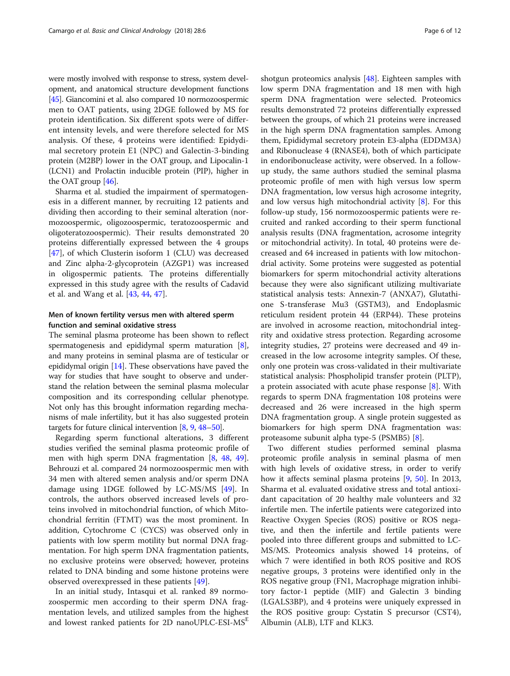were mostly involved with response to stress, system development, and anatomical structure development functions [[45](#page-10-0)]. Giancomini et al. also compared 10 normozoospermic men to OAT patients, using 2DGE followed by MS for protein identification. Six different spots were of different intensity levels, and were therefore selected for MS analysis. Of these, 4 proteins were identified: Epidydimal secretory protein E1 (NPC) and Galectin-3-binding protein (M2BP) lower in the OAT group, and Lipocalin-1 (LCN1) and Prolactin inducible protein (PIP), higher in the OAT group [\[46](#page-10-0)].

Sharma et al. studied the impairment of spermatogenesis in a different manner, by recruiting 12 patients and dividing then according to their seminal alteration (normozoospermic, oligozoospermic, teratozoospermic and oligoteratozoospermic). Their results demonstrated 20 proteins differentially expressed between the 4 groups [[47\]](#page-10-0), of which Clusterin isoform 1 (CLU) was decreased and Zinc alpha-2-glycoprotein (AZGP1) was increased in oligospermic patients. The proteins differentially expressed in this study agree with the results of Cadavid et al. and Wang et al. [\[43](#page-10-0), [44](#page-10-0), [47\]](#page-10-0).

## Men of known fertility versus men with altered sperm function and seminal oxidative stress

The seminal plasma proteome has been shown to reflect spermatogenesis and epididymal sperm maturation [[8](#page-10-0)], and many proteins in seminal plasma are of testicular or epididymal origin [[14\]](#page-10-0). These observations have paved the way for studies that have sought to observe and understand the relation between the seminal plasma molecular composition and its corresponding cellular phenotype. Not only has this brought information regarding mechanisms of male infertility, but it has also suggested protein targets for future clinical intervention [[8](#page-10-0), [9,](#page-10-0) [48](#page-10-0)–[50\]](#page-10-0).

Regarding sperm functional alterations, 3 different studies verified the seminal plasma proteomic profile of men with high sperm DNA fragmentation [[8,](#page-10-0) [48](#page-10-0), [49](#page-10-0)]. Behrouzi et al. compared 24 normozoospermic men with 34 men with altered semen analysis and/or sperm DNA damage using 1DGE followed by LC-MS/MS [\[49](#page-10-0)]. In controls, the authors observed increased levels of proteins involved in mitochondrial function, of which Mitochondrial ferritin (FTMT) was the most prominent. In addition, Cytochrome C (CYCS) was observed only in patients with low sperm motility but normal DNA fragmentation. For high sperm DNA fragmentation patients, no exclusive proteins were observed; however, proteins related to DNA binding and some histone proteins were observed overexpressed in these patients [[49\]](#page-10-0).

In an initial study, Intasqui et al. ranked 89 normozoospermic men according to their sperm DNA fragmentation levels, and utilized samples from the highest and lowest ranked patients for 2D nanoUPLC-ESI-MS<sup>E</sup> shotgun proteomics analysis [[48](#page-10-0)]. Eighteen samples with low sperm DNA fragmentation and 18 men with high sperm DNA fragmentation were selected. Proteomics results demonstrated 72 proteins differentially expressed between the groups, of which 21 proteins were increased in the high sperm DNA fragmentation samples. Among them, Epididymal secretory protein E3-alpha (EDDM3A) and Ribonuclease 4 (RNASE4), both of which participate in endoribonuclease activity, were observed. In a followup study, the same authors studied the seminal plasma proteomic profile of men with high versus low sperm DNA fragmentation, low versus high acrosome integrity, and low versus high mitochondrial activity  $[8]$  $[8]$ . For this follow-up study, 156 normozoospermic patients were recruited and ranked according to their sperm functional analysis results (DNA fragmentation, acrosome integrity or mitochondrial activity). In total, 40 proteins were decreased and 64 increased in patients with low mitochondrial activity. Some proteins were suggested as potential biomarkers for sperm mitochondrial activity alterations because they were also significant utilizing multivariate statistical analysis tests: Annexin-7 (ANXA7), Glutathione S-transferase Mu3 (GSTM3), and Endoplasmic reticulum resident protein 44 (ERP44). These proteins are involved in acrosome reaction, mitochondrial integrity and oxidative stress protection. Regarding acrosome integrity studies, 27 proteins were decreased and 49 increased in the low acrosome integrity samples. Of these, only one protein was cross-validated in their multivariate statistical analysis: Phospholipid transfer protein (PLTP), a protein associated with acute phase response [\[8](#page-10-0)]. With regards to sperm DNA fragmentation 108 proteins were decreased and 26 were increased in the high sperm DNA fragmentation group. A single protein suggested as biomarkers for high sperm DNA fragmentation was: proteasome subunit alpha type-5 (PSMB5) [\[8\]](#page-10-0).

Two different studies performed seminal plasma proteomic profile analysis in seminal plasma of men with high levels of oxidative stress, in order to verify how it affects seminal plasma proteins [[9,](#page-10-0) [50\]](#page-10-0). In 2013, Sharma et al. evaluated oxidative stress and total antioxidant capacitation of 20 healthy male volunteers and 32 infertile men. The infertile patients were categorized into Reactive Oxygen Species (ROS) positive or ROS negative, and then the infertile and fertile patients were pooled into three different groups and submitted to LC-MS/MS. Proteomics analysis showed 14 proteins, of which 7 were identified in both ROS positive and ROS negative groups, 3 proteins were identified only in the ROS negative group (FN1, Macrophage migration inhibitory factor-1 peptide (MIF) and Galectin 3 binding (LGALS3BP), and 4 proteins were uniquely expressed in the ROS positive group: Cystatin S precursor (CST4), Albumin (ALB), LTF and KLK3.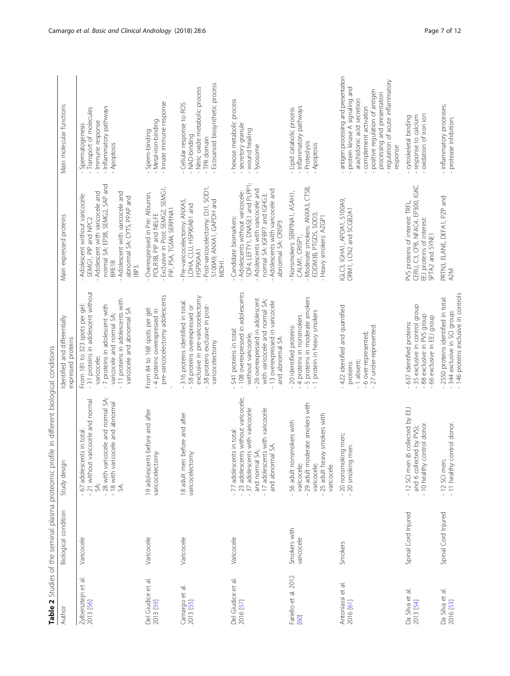<span id="page-6-0"></span>

| Author                           | Biological condition       | Table 2 Studies of the seminal plasma proteomic profile in different biological conditions<br>Study design                                                                          | Identified and differentially<br>expressed proteins                                                                                                                                                                   | Main expressed proteins                                                                                                                                                                                                      | Main molecular functions                                                                                                                                                                                                                              |
|----------------------------------|----------------------------|-------------------------------------------------------------------------------------------------------------------------------------------------------------------------------------|-----------------------------------------------------------------------------------------------------------------------------------------------------------------------------------------------------------------------|------------------------------------------------------------------------------------------------------------------------------------------------------------------------------------------------------------------------------|-------------------------------------------------------------------------------------------------------------------------------------------------------------------------------------------------------------------------------------------------------|
| Zylbersztejn et al.<br>2013 [56] | Varicocele                 | - 28 with varicocele and normal SA;<br>- 67 adolescents in total:<br>- 21 without varicocele and normal<br>- 18 with varicocele and abnormal<br>SA;<br>SA.                          | - 31 proteins in adolescent without<br>- 11 proteins in adolescents with<br>From 181 to 323 spots per gel:<br>7 proteins in adolescent with<br>varicocele and abnormal SA<br>varicocele and normal SA;<br>varicocele; | Adolescent with varicocele and<br>normal SA: EP3B, SEMG2, SAP and<br>Adolescent with varicocele and<br>- Adolescent without varicocele:<br>abnormal SA: CYTS, PPAP and<br>SEMG1, PIP and NPC2<br>BRE1B<br>IBP <sub>3</sub> . | - Inflammatory pathways<br>- Transport of molecules<br>- Immune response<br>- Spermatogenesis<br>- Apoptosis                                                                                                                                          |
| Del Giudice et al.<br>2013 [59]  | Varicocele                 | 19 adolescents before and after<br>varicocelectomy                                                                                                                                  | pre-varicocelectomy adolescents<br>From 84 to 168 spots per gel:<br>- 4 proteins overexpressed in                                                                                                                     | Exclusive in Post: SEMG2, SEMG1,<br>Overexpressed in Pre: Albumin,<br>PIP, PSA, TGM4, SERPINAT<br>POLR3B, PIP and NELFE                                                                                                      | - Innate immune response<br>- Metal-iron-binding<br>- Sperm-binding                                                                                                                                                                                   |
| Camargo et al.<br>2013 [55]      | Varicocele                 | 18 adult men before and after<br>varicocelectom                                                                                                                                     | exclusive in pre-varicocelectomy<br>316 proteins identified in total:<br>58 proteins overexpressed or<br>38 proteins exclusive in post-<br>varicocelectomy                                                            | Post-varicocelectomy: DJ1, SOD1,<br>S100A9, ANXA1, GAPDH and<br>Pre-varicocelectomy: ANXA5,<br>LDHA, CLU, HSP90AB1 and<br>HSP90AA1<br>MDH1.                                                                                  | - Eicosanoid biosynthetic process<br>- Nitric oxide metabolic process<br>- Cellular response to ROS<br>- NAD-binding<br>- TPR domain                                                                                                                  |
| Del Giudice et al.<br>2016 [57]  | Varicocele                 | - 23 adolescents without varicocele;<br>- 37 adolescents with varicocele<br>- 17 adolescents with varicocele<br>- 77 adolescents in total:<br>SA.<br>and normal SA;<br>and abnormal | - 108 overexpressed in adolescents<br>26 overexpressed in adolescent<br>with varicocele and normal SA;<br>13 overexpressed in varicocele<br>541 proteins in total:<br>without varicocele;<br>and abnormal SA.         | SDF4, LEFTY1, DNASE1 and PLPP1;<br>Adolescents with varicocele and<br>Adolescents with varicocele and<br>- Adolescents without varicocele:<br>normal SA: IGFBP7 and IGHG3;<br>Candidate biomarkers:<br>abnormal SA: CRISP3   | - hexose metabolic process<br>- secretory granule<br>- wound healing<br>- lysosome                                                                                                                                                                    |
| Fariello et al. 2012<br>60       | Smokers with<br>varicocele | - 29 adult moderate smokers with<br>- 25 adult heavy smokers with<br>56 adult nonsmokers with<br>varicocele;<br>varicocele;<br>varicocele.                                          | 5 proteins in moderate smokers<br>protein in heavy smokers<br>- 4 proteins in nonsmokers<br>20 identified proteins:<br>$\leftarrow$                                                                                   | Moderate smokers: ANXA3, CTSB,<br>Nonsmokers: SERPINA1, ASAH1,<br>EDDM3B, PTGDS, SOD3;<br>Heavy smokers: AZGP1<br>CALM1, CRISP1;                                                                                             | - Inflammatory pathways<br>- Lipid catabolic process<br>- Proteolysis<br>Apoptosis                                                                                                                                                                    |
| Antoniassi et al.<br>2016 [61]   | Smokers                    | - 20 nonsmoking men;<br>- 20 smoking men.                                                                                                                                           | 422 identified and quantified<br>27 under-represented.<br>- 6 over-represented;<br>proteins:<br>1 absent;                                                                                                             | IGLC3, IGHA1, APOA1, S100A9,<br>ORM1, LCN2 and SCGB2A1                                                                                                                                                                       | - antigen processing and presentation<br>regulation of acute inflammatory<br>- protein kinase A signaling and<br>- positive regulation of antigen<br>processing and presentation<br>arachidonic acid secretion<br>- complement activation<br>response |
| Da Silva et al.<br>2013 [54]     | Spinal Cord Injured        | - 12 SCI men (6 collected by EEJ<br>- 10 healthy control donor.<br>and 6 collected by PVS);                                                                                         | - 35 exclusive in control group<br>- 88 exclusive in PVS group<br>- 66 exclusive in EEJ group<br>- 637 identified proteins:                                                                                           | CERU, C3, CPB, NFAC4, EP300, IGKC<br>PVS proteins of interest: TRFL,<br>EEJ proteins of interest:<br>SPTA2 and SYNE1                                                                                                         | oxidation of iron ion<br>- response to calcium<br>- cytoskeletal binding                                                                                                                                                                              |
| Da Silva et al.<br>2016 [53]     | Spinal Cord Injured        | - 11 healthy control donor.<br>$-12$ SCI men;                                                                                                                                       | - 344 exclusive in SCI group;<br>- 146 proteins exclusive in controls<br>- 2550 proteins identified in total:                                                                                                         | PRTN3, ELANE, DEFA1, PZP and<br><b>NZM</b>                                                                                                                                                                                   | - inflammatory processes;<br>- protease inhibition;                                                                                                                                                                                                   |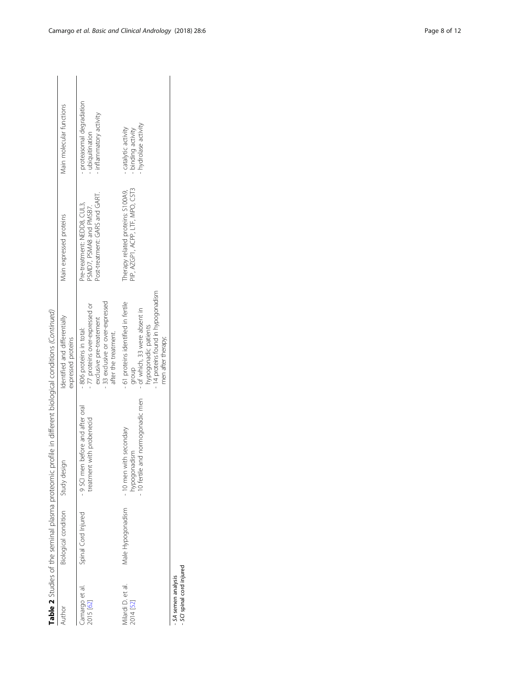|                                           |                                   | <b>Lable 4</b> Suddiscription in the Financial District District District District District District District District District District District District District District District District District District District District |                                                                                                                                                                    |                                                                                          |                                                                        |
|-------------------------------------------|-----------------------------------|------------------------------------------------------------------------------------------------------------------------------------------------------------------------------------------------------------------------------------|--------------------------------------------------------------------------------------------------------------------------------------------------------------------|------------------------------------------------------------------------------------------|------------------------------------------------------------------------|
| Author                                    | Biological condition Study design |                                                                                                                                                                                                                                    | Identified and differentially<br>expressed proteins                                                                                                                | Main expressed proteins                                                                  | Main molecular functions                                               |
| Camargo et al.<br>2015 [62]               | Spinal Cord Injured               | - 9 SCI men before and after oral<br>treatment with probenecid                                                                                                                                                                     | -33 exclusive or over-expressed<br>- 77 proteins over-expressed or<br>exclusive pre-treatement<br>-806 proteins in total:<br>after the treatment.                  | Post-treatment: GARS and GART.<br>Pre-treatment: NEDD8, CUL3,<br>PSMD7, PSMA8 and PMSB7. | - proteasomal degradation<br>- inflammatory activity<br>ubiquitination |
| Milardi D. et al.<br>2014 [52]            | Male Hypogonadism                 | 10 fertile and normogonadic men<br>-10 men with secondary<br>hypogonadism                                                                                                                                                          | - 14 proteins found in hypogonadism<br>- 61 proteins identified in fertile<br>- of which, 33 were absent in<br>hypogonadic patients<br>men after therapy;<br>qroup | PIP, AZGP1, ACPP, LTF, MPO, CST3<br>Therapy related proteins: S100A9,                    | - hydrolase activity<br>- catalytic activity<br>- binding activity     |
| hamin's cord injurad<br>SA semen analysis |                                   |                                                                                                                                                                                                                                    |                                                                                                                                                                    |                                                                                          |                                                                        |

Table 2 Studies of the seminal plasma proteomic profile in different biological conditions (Continued) Table 2 Studies of the seminal plasma proteomic profile in different biological conditions (Continued)

 SA semen analysis SCI spinal cord injured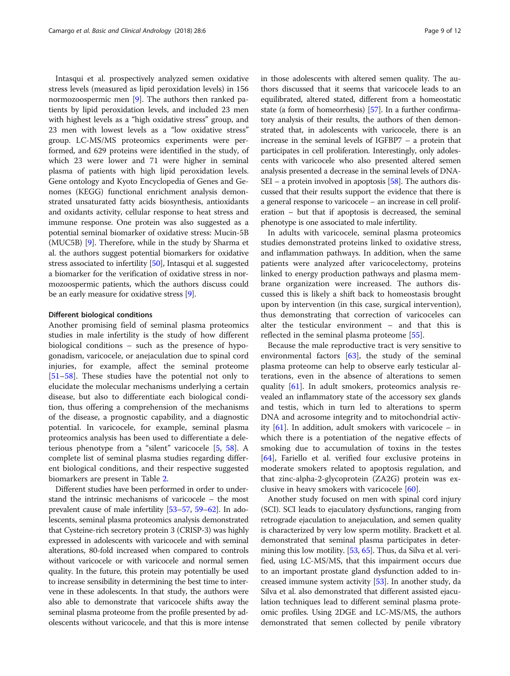Intasqui et al. prospectively analyzed semen oxidative stress levels (measured as lipid peroxidation levels) in 156 normozoospermic men [[9\]](#page-10-0). The authors then ranked patients by lipid peroxidation levels, and included 23 men with highest levels as a "high oxidative stress" group, and 23 men with lowest levels as a "low oxidative stress" group. LC-MS/MS proteomics experiments were performed, and 629 proteins were identified in the study, of which 23 were lower and 71 were higher in seminal plasma of patients with high lipid peroxidation levels. Gene ontology and Kyoto Encyclopedia of Genes and Genomes (KEGG) functional enrichment analysis demonstrated unsaturated fatty acids biosynthesis, antioxidants and oxidants activity, cellular response to heat stress and immune response. One protein was also suggested as a potential seminal biomarker of oxidative stress: Mucin-5B (MUC5B) [\[9](#page-10-0)]. Therefore, while in the study by Sharma et al. the authors suggest potential biomarkers for oxidative stress associated to infertility [[50](#page-10-0)], Intasqui et al. suggested a biomarker for the verification of oxidative stress in normozoospermic patients, which the authors discuss could be an early measure for oxidative stress [\[9](#page-10-0)].

#### Different biological conditions

Another promising field of seminal plasma proteomics studies in male infertility is the study of how different biological conditions – such as the presence of hypogonadism, varicocele, or anejaculation due to spinal cord injuries, for example, affect the seminal proteome [[51](#page-10-0)–[58](#page-11-0)]. These studies have the potential not only to elucidate the molecular mechanisms underlying a certain disease, but also to differentiate each biological condition, thus offering a comprehension of the mechanisms of the disease, a prognostic capability, and a diagnostic potential. In varicocele, for example, seminal plasma proteomics analysis has been used to differentiate a deleterious phenotype from a "silent" varicocele [\[5,](#page-9-0) [58\]](#page-11-0). A complete list of seminal plasma studies regarding different biological conditions, and their respective suggested biomarkers are present in Table [2.](#page-6-0)

Different studies have been performed in order to understand the intrinsic mechanisms of varicocele – the most prevalent cause of male infertility [\[53](#page-10-0)–[57](#page-11-0), [59](#page-11-0)–[62](#page-11-0)]. In adolescents, seminal plasma proteomics analysis demonstrated that Cysteine-rich secretory protein 3 (CRISP-3) was highly expressed in adolescents with varicocele and with seminal alterations, 80-fold increased when compared to controls without varicocele or with varicocele and normal semen quality. In the future, this protein may potentially be used to increase sensibility in determining the best time to intervene in these adolescents. In that study, the authors were also able to demonstrate that varicocele shifts away the seminal plasma proteome from the profile presented by adolescents without varicocele, and that this is more intense

in those adolescents with altered semen quality. The authors discussed that it seems that varicocele leads to an equilibrated, altered stated, different from a homeostatic state (a form of homeorrhesis) [[57](#page-11-0)]. In a further confirmatory analysis of their results, the authors of then demonstrated that, in adolescents with varicocele, there is an increase in the seminal levels of IGFBP7 – a protein that participates in cell proliferation. Interestingly, only adolescents with varicocele who also presented altered semen analysis presented a decrease in the seminal levels of DNA-SEI – a protein involved in apoptosis  $[58]$  $[58]$ . The authors discussed that their results support the evidence that there is a general response to varicocele – an increase in cell proliferation – but that if apoptosis is decreased, the seminal phenotype is one associated to male infertility.

In adults with varicocele, seminal plasma proteomics studies demonstrated proteins linked to oxidative stress, and inflammation pathways. In addition, when the same patients were analyzed after varicocelectomy, proteins linked to energy production pathways and plasma membrane organization were increased. The authors discussed this is likely a shift back to homeostasis brought upon by intervention (in this case, surgical intervention), thus demonstrating that correction of varicoceles can alter the testicular environment – and that this is reflected in the seminal plasma proteome [[55\]](#page-11-0).

Because the male reproductive tract is very sensitive to environmental factors [\[63](#page-11-0)], the study of the seminal plasma proteome can help to observe early testicular alterations, even in the absence of alterations to semen quality [\[61](#page-11-0)]. In adult smokers, proteomics analysis revealed an inflammatory state of the accessory sex glands and testis, which in turn led to alterations to sperm DNA and acrosome integrity and to mitochondrial activity  $[61]$  $[61]$ . In addition, adult smokers with varicocele – in which there is a potentiation of the negative effects of smoking due to accumulation of toxins in the testes [[64\]](#page-11-0), Fariello et al. verified four exclusive proteins in moderate smokers related to apoptosis regulation, and that zinc-alpha-2-glycoprotein (ZA2G) protein was exclusive in heavy smokers with varicocele [[60\]](#page-11-0).

Another study focused on men with spinal cord injury (SCI). SCI leads to ejaculatory dysfunctions, ranging from retrograde ejaculation to anejaculation, and semen quality is characterized by very low sperm motility. Brackett et al. demonstrated that seminal plasma participates in deter-mining this low motility. [\[53,](#page-10-0) [65](#page-11-0)]. Thus, da Silva et al. verified, using LC-MS/MS, that this impairment occurs due to an important prostate gland dysfunction added to increased immune system activity [\[53\]](#page-10-0). In another study, da Silva et al. also demonstrated that different assisted ejaculation techniques lead to different seminal plasma proteomic profiles. Using 2DGE and LC-MS/MS, the authors demonstrated that semen collected by penile vibratory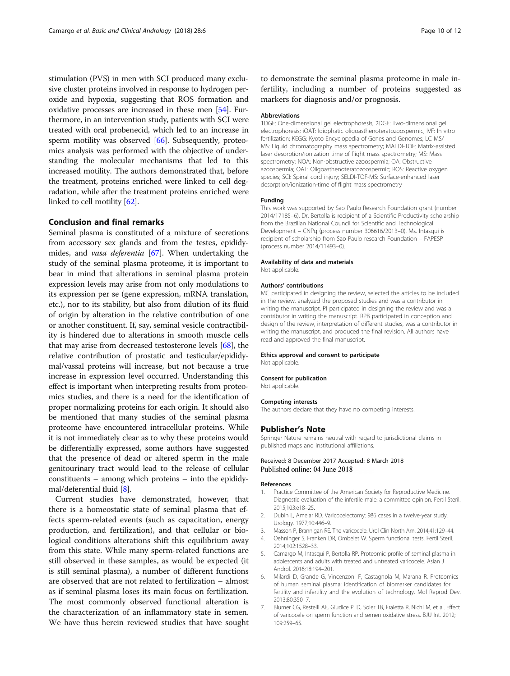<span id="page-9-0"></span>stimulation (PVS) in men with SCI produced many exclusive cluster proteins involved in response to hydrogen peroxide and hypoxia, suggesting that ROS formation and oxidative processes are increased in these men [[54\]](#page-11-0). Furthermore, in an intervention study, patients with SCI were treated with oral probenecid, which led to an increase in sperm motility was observed [[66](#page-11-0)]. Subsequently, proteomics analysis was performed with the objective of understanding the molecular mechanisms that led to this increased motility. The authors demonstrated that, before the treatment, proteins enriched were linked to cell degradation, while after the treatment proteins enriched were linked to cell motility [[62](#page-11-0)].

## Conclusion and final remarks

Seminal plasma is constituted of a mixture of secretions from accessory sex glands and from the testes, epididymides, and vasa deferentia [\[67](#page-11-0)]. When undertaking the study of the seminal plasma proteome, it is important to bear in mind that alterations in seminal plasma protein expression levels may arise from not only modulations to its expression per se (gene expression, mRNA translation, etc.), nor to its stability, but also from dilution of its fluid of origin by alteration in the relative contribution of one or another constituent. If, say, seminal vesicle contractibility is hindered due to alterations in smooth muscle cells that may arise from decreased testosterone levels [\[68\]](#page-11-0), the relative contribution of prostatic and testicular/epididymal/vassal proteins will increase, but not because a true increase in expression level occurred. Understanding this effect is important when interpreting results from proteomics studies, and there is a need for the identification of proper normalizing proteins for each origin. It should also be mentioned that many studies of the seminal plasma proteome have encountered intracellular proteins. While it is not immediately clear as to why these proteins would be differentially expressed, some authors have suggested that the presence of dead or altered sperm in the male genitourinary tract would lead to the release of cellular constituents – among which proteins – into the epididymal/deferential fluid [[8](#page-10-0)].

Current studies have demonstrated, however, that there is a homeostatic state of seminal plasma that effects sperm-related events (such as capacitation, energy production, and fertilization), and that cellular or biological conditions alterations shift this equilibrium away from this state. While many sperm-related functions are still observed in these samples, as would be expected (it is still seminal plasma), a number of different functions are observed that are not related to fertilization – almost as if seminal plasma loses its main focus on fertilization. The most commonly observed functional alteration is the characterization of an inflammatory state in semen. We have thus herein reviewed studies that have sought

to demonstrate the seminal plasma proteome in male infertility, including a number of proteins suggested as markers for diagnosis and/or prognosis.

#### Abbreviations

1DGE: One-dimensional gel electrophoresis; 2DGE: Two-dimensional gel electrophoresis; iOAT: Idiophatic oligoasthenoteratozoospermic; IVF: In vitro fertilization; KEGG: Kyoto Encyclopedia of Genes and Genomes; LC MS/ MS: Liquid chromatography mass spectrometry; MALDI-TOF: Matrix-assisted laser desorption/ionization time of flight mass spectrometry; MS: Mass spectrometry; NOA: Non-obstructive azoospermia; OA: Obstructive azoospermia; OAT: Oligoasthenoteratozoospermic; ROS: Reactive oxygen species; SCI: Spinal cord injury; SELDI-TOF-MS: Surface-enhanced laser desorption/ionization-time of flight mass spectrometry

#### Funding

This work was supported by Sao Paulo Research Foundation grant (number 2014/17185–6). Dr. Bertolla is recipient of a Scientific Productivity scholarship from the Brazilian National Council for Scientific and Technological Development – CNPq (process number 306616/2013–0). Ms. Intasqui is recipient of scholarship from Sao Paulo research Foundation – FAPESP (process number 2014/11493–0).

#### Availability of data and materials

Not applicable.

#### Authors' contributions

MC participated in designing the review, selected the articles to be included in the review, analyzed the proposed studies and was a contributor in writing the manuscript. PI participated in designing the review and was a contributor in writing the manuscript. RPB participated in conception and design of the review, interpretation of different studies, was a contributor in writing the manuscript, and produced the final revision. All authors have read and approved the final manuscript.

#### Ethics approval and consent to participate

Not applicable.

#### Consent for publication

Not applicable.

#### Competing interests

The authors declare that they have no competing interests.

#### Publisher's Note

Springer Nature remains neutral with regard to jurisdictional claims in published maps and institutional affiliations.

#### Received: 8 December 2017 Accepted: 8 March 2018 Published online: 04 June 2018

#### References

- 1. Practice Committee of the American Society for Reproductive Medicine. Diagnostic evaluation of the infertile male: a committee opinion. Fertil Steril. 2015;103:e18–25.
- 2. Dubin L, Amelar RD. Varicocelectomy: 986 cases in a twelve-year study. Urology. 1977;10:446–9.
- 3. Masson P, Brannigan RE. The varicocele. Urol Clin North Am. 2014;41:129–44.
- 4. Oehninger S, Franken DR, Ombelet W. Sperm functional tests. Fertil Steril. 2014;102:1528–33.
- 5. Camargo M, Intasqui P, Bertolla RP. Proteomic profile of seminal plasma in adolescents and adults with treated and untreated varicocele. Asian J Androl. 2016;18:194–201.
- 6. Milardi D, Grande G, Vincenzoni F, Castagnola M, Marana R. Proteomics of human seminal plasma: identification of biomarker candidates for fertility and infertility and the evolution of technology. Mol Reprod Dev. 2013;80:350–7.
- 7. Blumer CG, Restelli AE, Giudice PTD, Soler TB, Fraietta R, Nichi M, et al. Effect of varicocele on sperm function and semen oxidative stress. BJU Int. 2012; 109:259–65.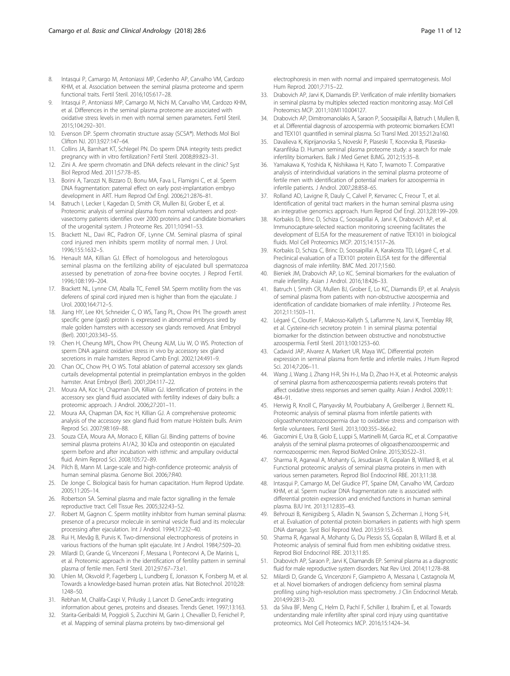- <span id="page-10-0"></span>8. Intasqui P, Camargo M, Antoniassi MP, Cedenho AP, Carvalho VM, Cardozo KHM, et al. Association between the seminal plasma proteome and sperm functional traits. Fertil Steril. 2016;105:617–28.
- 9. Intasqui P, Antoniassi MP, Camargo M, Nichi M, Carvalho VM, Cardozo KHM, et al. Differences in the seminal plasma proteome are associated with oxidative stress levels in men with normal semen parameters. Fertil Steril. 2015;104:292–301.
- 10. Evenson DP. Sperm chromatin structure assay (SCSA®). Methods Mol Biol Clifton NJ. 2013;927:147–64.
- 11. Collins JA, Barnhart KT, Schlegel PN. Do sperm DNA integrity tests predict pregnancy with in vitro fertilization? Fertil Steril. 2008;89:823–31.
- 12. Zini A. Are sperm chromatin and DNA defects relevant in the clinic? Syst Biol Reprod Med. 2011;57:78–85.
- 13. Borini A, Tarozzi N, Bizzaro D, Bonu MA, Fava L, Flamigni C, et al. Sperm DNA fragmentation: paternal effect on early post-implantation embryo development in ART. Hum Reprod Oxf Engl. 2006;21:2876–81.
- 14. Batruch I, Lecker I, Kagedan D, Smith CR, Mullen BJ, Grober E, et al. Proteomic analysis of seminal plasma from normal volunteers and postvasectomy patients identifies over 2000 proteins and candidate biomarkers of the urogenital system. J Proteome Res. 2011;10:941–53.
- 15. Brackett NL, Davi RC, Padron OF, Lynne CM. Seminal plasma of spinal cord injured men inhibits sperm motility of normal men. J Urol. 1996;155:1632–5.
- 16. Henault MA, Killian GJ. Effect of homologous and heterologous seminal plasma on the fertilizing ability of ejaculated bull spermatozoa assessed by penetration of zona-free bovine oocytes. J Reprod Fertil. 1996;108:199–204.
- 17. Brackett NL, Lynne CM, Aballa TC, Ferrell SM. Sperm motility from the vas deferens of spinal cord injured men is higher than from the ejaculate. J Urol. 2000;164:712–5.
- 18. Jiang HY, Lee KH, Schneider C, O WS, Tang PL, Chow PH. The growth arrest specific gene (gas6) protein is expressed in abnormal embryos sired by male golden hamsters with accessory sex glands removed. Anat Embryol (Berl). 2001;203:343–55.
- 19. Chen H, Cheung MPL, Chow PH, Cheung ALM, Liu W, O WS. Protection of sperm DNA against oxidative stress in vivo by accessory sex gland secretions in male hamsters. Reprod Camb Engl. 2002;124:491–9.
- 20. Chan OC, Chow PH, O WS. Total ablation of paternal accessory sex glands curtails developmental potential in preimplantation embryos in the golden hamster. Anat Embryol (Berl). 2001;204:117–22.
- 21. Moura AA, Koc H, Chapman DA, Killian GJ. Identification of proteins in the accessory sex gland fluid associated with fertility indexes of dairy bulls: a proteomic approach. J Androl. 2006;27:201–11.
- 22. Moura AA, Chapman DA, Koc H, Killian GJ, A comprehensive proteomic analysis of the accessory sex gland fluid from mature Holstein bulls. Anim Reprod Sci. 2007;98:169–88.
- 23. Souza CEA, Moura AA, Monaco E, Killian GJ. Binding patterns of bovine seminal plasma proteins A1/A2, 30 kDa and osteopontin on ejaculated sperm before and after incubation with isthmic and ampullary oviductal fluid. Anim Reprod Sci. 2008;105:72–89.
- 24. Pilch B, Mann M. Large-scale and high-confidence proteomic analysis of human seminal plasma. Genome Biol. 2006;7:R40.
- 25. De Jonge C. Biological basis for human capacitation. Hum Reprod Update. 2005;11:205–14.
- 26. Robertson SA. Seminal plasma and male factor signalling in the female reproductive tract. Cell Tissue Res. 2005;322:43–52.
- 27. Robert M, Gagnon C. Sperm motility inhibitor from human seminal plasma: presence of a precursor molecule in seminal vesicle fluid and its molecular processing after ejaculation. Int J Androl. 1994;17:232–40.
- 28. Rui H, Mevåg B, Purvis K. Two-dimensional electrophoresis of proteins in various fractions of the human split ejaculate. Int J Androl. 1984;7:509–20.
- 29. Milardi D, Grande G, Vincenzoni F, Messana I, Pontecorvi A, De Marinis L, et al. Proteomic approach in the identification of fertility pattern in seminal plasma of fertile men. Fertil Steril. 2012;97:67–73.e1.
- 30. Uhlen M, Oksvold P, Fagerberg L, Lundberg E, Jonasson K, Forsberg M, et al. Towards a knowledge-based human protein atlas. Nat Biotechnol. 2010;28: 1248–50.
- 31. Rebhan M, Chalifa-Caspi V, Prilusky J, Lancet D. GeneCards: integrating information about genes, proteins and diseases. Trends Genet. 1997;13:163.
- 32. Starita-Geribaldi M, Poggioli S, Zucchini M, Garin J, Chevallier D, Fenichel P, et al. Mapping of seminal plasma proteins by two-dimensional gel

electrophoresis in men with normal and impaired spermatogenesis. Mol Hum Reprod. 2001;7:715–22.

- 33. Drabovich AP, Jarvi K, Diamandis EP. Verification of male infertility biomarkers in seminal plasma by multiplex selected reaction monitoring assay. Mol Cell Proteomics MCP. 2011;10:M110.004127.
- 34. Drabovich AP, Dimitromanolakis A, Saraon P, Soosaipillai A, Batruch I, Mullen B, et al. Differential diagnosis of azoospermia with proteomic biomarkers ECM1 and TEX101 quantified in seminal plasma. Sci Transl Med. 2013;5:212ra160.
- 35. Davalieva K, Kiprijanovska S, Noveski P, Plaseski T, Kocevska B, Plaseska-Karanfilska D. Human seminal plasma proteome study: a search for male infertility biomarkers. Balk J Med Genet BJMG. 2012;15:35–8.
- 36. Yamakawa K, Yoshida K, Nishikawa H, Kato T, Iwamoto T. Comparative analysis of interindividual variations in the seminal plasma proteome of fertile men with identification of potential markers for azoospermia in infertile patients. J Androl. 2007;28:858–65.
- 37. Rolland AD, Lavigne R, Dauly C, Calvel P, Kervarrec C, Freour T, et al. Identification of genital tract markers in the human seminal plasma using an integrative genomics approach. Hum Reprod Oxf Engl. 2013;28:199–209.
- 38. Korbakis D, Brinc D, Schiza C, Soosaipillai A, Jarvi K, Drabovich AP, et al. Immunocapture-selected reaction monitoring screening facilitates the development of ELISA for the measurement of native TEX101 in biological fluids. Mol Cell Proteomics MCP. 2015;14:1517–26.
- 39. Korbakis D, Schiza C, Brinc D, Soosaipillai A, Karakosta TD, Légaré C, et al. Preclinical evaluation of a TEX101 protein ELISA test for the differential diagnosis of male infertility. BMC Med. 2017;15:60.
- 40. Bieniek JM, Drabovich AP, Lo KC. Seminal biomarkers for the evaluation of male infertility. Asian J Androl. 2016;18:426–33.
- 41. Batruch I, Smith CR, Mullen BJ, Grober E, Lo KC, Diamandis EP, et al. Analysis of seminal plasma from patients with non-obstructive azoospermia and identification of candidate biomarkers of male infertility. J Proteome Res. 2012;11:1503–11.
- 42. Légaré C, Cloutier F, Makosso-Kallyth S, Laflamme N, Jarvi K, Tremblay RR, et al. Cysteine-rich secretory protein 1 in seminal plasma: potential biomarker for the distinction between obstructive and nonobstructive azoospermia. Fertil Steril. 2013;100:1253–60.
- 43. Cadavid JAP, Alvarez A, Markert UR, Maya WC. Differential protein expression in seminal plasma from fertile and infertile males. J Hum Reprod Sci. 2014;7:206–11.
- 44. Wang J, Wang J, Zhang H-R, Shi H-J, Ma D, Zhao H-X, et al. Proteomic analysis of seminal plasma from asthenozoospermia patients reveals proteins that affect oxidative stress responses and semen quality. Asian J Androl. 2009;11: 484–91.
- 45. Herwig R, Knoll C, Planyavsky M, Pourbiabany A, Greilberger J, Bennett KL. Proteomic analysis of seminal plasma from infertile patients with oligoasthenoteratozoospermia due to oxidative stress and comparison with fertile volunteers. Fertil Steril. 2013;100:355–366.e2.
- 46. Giacomini E, Ura B, Giolo E, Luppi S, Martinelli M, Garcia RC, et al. Comparative analysis of the seminal plasma proteomes of oligoasthenozoospermic and normozoospermic men. Reprod BioMed Online. 2015;30:522–31.
- 47. Sharma R, Agarwal A, Mohanty G, Jesudasan R, Gopalan B, Willard B, et al. Functional proteomic analysis of seminal plasma proteins in men with various semen parameters. Reprod Biol Endocrinol RBE. 2013;11:38.
- 48. Intasqui P, Camargo M, Del Giudice PT, Spaine DM, Carvalho VM, Cardozo KHM, et al. Sperm nuclear DNA fragmentation rate is associated with differential protein expression and enriched functions in human seminal plasma. BJU Int. 2013;112:835–43.
- 49. Behrouzi B, Kenigsberg S, Alladin N, Swanson S, Zicherman J, Hong S-H, et al. Evaluation of potential protein biomarkers in patients with high sperm DNA damage. Syst Biol Reprod Med. 2013;59:153–63.
- 50. Sharma R, Agarwal A, Mohanty G, Du Plessis SS, Gopalan B, Willard B, et al. Proteomic analysis of seminal fluid from men exhibiting oxidative stress. Reprod Biol Endocrinol RBE. 2013;11:85.
- 51. Drabovich AP, Saraon P, Jarvi K, Diamandis EP. Seminal plasma as a diagnostic fluid for male reproductive system disorders. Nat Rev Urol. 2014;11:278–88.
- 52. Milardi D, Grande G, Vincenzoni F, Giampietro A, Messana I, Castagnola M, et al. Novel biomarkers of androgen deficiency from seminal plasma profiling using high-resolution mass spectrometry. J Clin Endocrinol Metab. 2014;99:2813–20.
- 53. da Silva BF, Meng C, Helm D, Pachl F, Schiller J, Ibrahim E, et al. Towards understanding male infertility after spinal cord injury using quantitative proteomics. Mol Cell Proteomics MCP. 2016;15:1424–34.